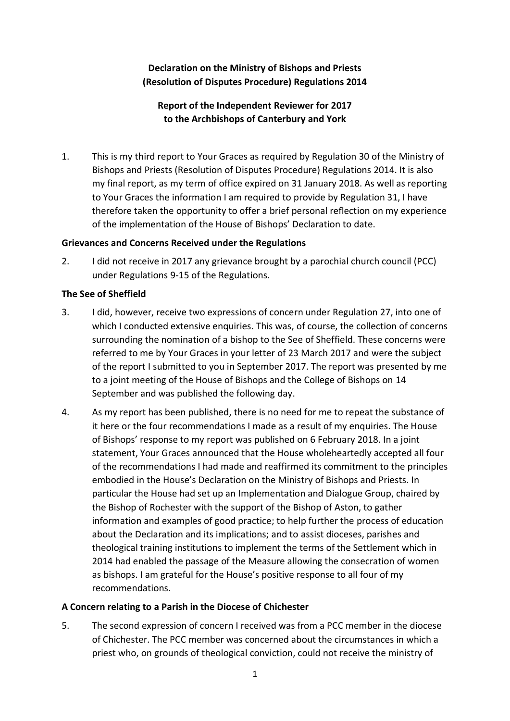# **Declaration on the Ministry of Bishops and Priests (Resolution of Disputes Procedure) Regulations 2014**

# **Report of the Independent Reviewer for 2017 to the Archbishops of Canterbury and York**

1. This is my third report to Your Graces as required by Regulation 30 of the Ministry of Bishops and Priests (Resolution of Disputes Procedure) Regulations 2014. It is also my final report, as my term of office expired on 31 January 2018. As well as reporting to Your Graces the information I am required to provide by Regulation 31, I have therefore taken the opportunity to offer a brief personal reflection on my experience of the implementation of the House of Bishops' Declaration to date.

### **Grievances and Concerns Received under the Regulations**

2. I did not receive in 2017 any grievance brought by a parochial church council (PCC) under Regulations 9-15 of the Regulations.

### **The See of Sheffield**

- 3. I did, however, receive two expressions of concern under Regulation 27, into one of which I conducted extensive enquiries. This was, of course, the collection of concerns surrounding the nomination of a bishop to the See of Sheffield. These concerns were referred to me by Your Graces in your letter of 23 March 2017 and were the subject of the report I submitted to you in September 2017. The report was presented by me to a joint meeting of the House of Bishops and the College of Bishops on 14 September and was published the following day.
- 4. As my report has been published, there is no need for me to repeat the substance of it here or the four recommendations I made as a result of my enquiries. The House of Bishops' response to my report was published on 6 February 2018. In a joint statement, Your Graces announced that the House wholeheartedly accepted all four of the recommendations I had made and reaffirmed its commitment to the principles embodied in the House's Declaration on the Ministry of Bishops and Priests. In particular the House had set up an Implementation and Dialogue Group, chaired by the Bishop of Rochester with the support of the Bishop of Aston, to gather information and examples of good practice; to help further the process of education about the Declaration and its implications; and to assist dioceses, parishes and theological training institutions to implement the terms of the Settlement which in 2014 had enabled the passage of the Measure allowing the consecration of women as bishops. I am grateful for the House's positive response to all four of my recommendations.

## **A Concern relating to a Parish in the Diocese of Chichester**

5. The second expression of concern I received was from a PCC member in the diocese of Chichester. The PCC member was concerned about the circumstances in which a priest who, on grounds of theological conviction, could not receive the ministry of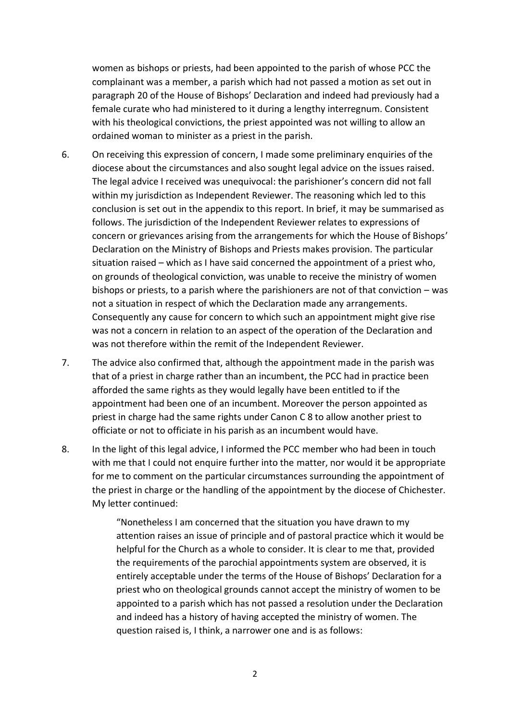women as bishops or priests, had been appointed to the parish of whose PCC the complainant was a member, a parish which had not passed a motion as set out in paragraph 20 of the House of Bishops' Declaration and indeed had previously had a female curate who had ministered to it during a lengthy interregnum. Consistent with his theological convictions, the priest appointed was not willing to allow an ordained woman to minister as a priest in the parish.

- 6. On receiving this expression of concern, I made some preliminary enquiries of the diocese about the circumstances and also sought legal advice on the issues raised. The legal advice I received was unequivocal: the parishioner's concern did not fall within my jurisdiction as Independent Reviewer. The reasoning which led to this conclusion is set out in the appendix to this report. In brief, it may be summarised as follows. The jurisdiction of the Independent Reviewer relates to expressions of concern or grievances arising from the arrangements for which the House of Bishops' Declaration on the Ministry of Bishops and Priests makes provision. The particular situation raised – which as I have said concerned the appointment of a priest who, on grounds of theological conviction, was unable to receive the ministry of women bishops or priests, to a parish where the parishioners are not of that conviction – was not a situation in respect of which the Declaration made any arrangements. Consequently any cause for concern to which such an appointment might give rise was not a concern in relation to an aspect of the operation of the Declaration and was not therefore within the remit of the Independent Reviewer.
- 7. The advice also confirmed that, although the appointment made in the parish was that of a priest in charge rather than an incumbent, the PCC had in practice been afforded the same rights as they would legally have been entitled to if the appointment had been one of an incumbent. Moreover the person appointed as priest in charge had the same rights under Canon C 8 to allow another priest to officiate or not to officiate in his parish as an incumbent would have.
- 8. In the light of this legal advice, I informed the PCC member who had been in touch with me that I could not enquire further into the matter, nor would it be appropriate for me to comment on the particular circumstances surrounding the appointment of the priest in charge or the handling of the appointment by the diocese of Chichester. My letter continued:

"Nonetheless I am concerned that the situation you have drawn to my attention raises an issue of principle and of pastoral practice which it would be helpful for the Church as a whole to consider. It is clear to me that, provided the requirements of the parochial appointments system are observed, it is entirely acceptable under the terms of the House of Bishops' Declaration for a priest who on theological grounds cannot accept the ministry of women to be appointed to a parish which has not passed a resolution under the Declaration and indeed has a history of having accepted the ministry of women. The question raised is, I think, a narrower one and is as follows: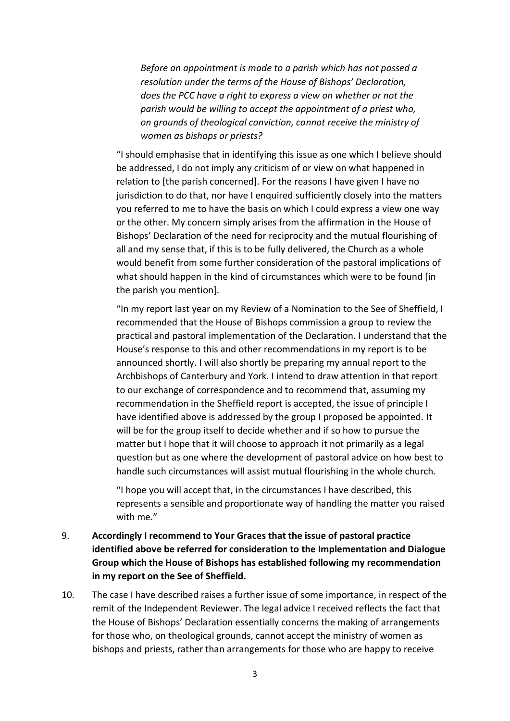*Before an appointment is made to a parish which has not passed a resolution under the terms of the House of Bishops' Declaration, does the PCC have a right to express a view on whether or not the parish would be willing to accept the appointment of a priest who, on grounds of theological conviction, cannot receive the ministry of women as bishops or priests?*

"I should emphasise that in identifying this issue as one which I believe should be addressed, I do not imply any criticism of or view on what happened in relation to [the parish concerned]. For the reasons I have given I have no jurisdiction to do that, nor have I enquired sufficiently closely into the matters you referred to me to have the basis on which I could express a view one way or the other. My concern simply arises from the affirmation in the House of Bishops' Declaration of the need for reciprocity and the mutual flourishing of all and my sense that, if this is to be fully delivered, the Church as a whole would benefit from some further consideration of the pastoral implications of what should happen in the kind of circumstances which were to be found [in the parish you mention].

"In my report last year on my Review of a Nomination to the See of Sheffield, I recommended that the House of Bishops commission a group to review the practical and pastoral implementation of the Declaration. I understand that the House's response to this and other recommendations in my report is to be announced shortly. I will also shortly be preparing my annual report to the Archbishops of Canterbury and York. I intend to draw attention in that report to our exchange of correspondence and to recommend that, assuming my recommendation in the Sheffield report is accepted, the issue of principle I have identified above is addressed by the group I proposed be appointed. It will be for the group itself to decide whether and if so how to pursue the matter but I hope that it will choose to approach it not primarily as a legal question but as one where the development of pastoral advice on how best to handle such circumstances will assist mutual flourishing in the whole church.

"I hope you will accept that, in the circumstances I have described, this represents a sensible and proportionate way of handling the matter you raised with me."

- 9. **Accordingly I recommend to Your Graces that the issue of pastoral practice identified above be referred for consideration to the Implementation and Dialogue Group which the House of Bishops has established following my recommendation in my report on the See of Sheffield.**
- 10. The case I have described raises a further issue of some importance, in respect of the remit of the Independent Reviewer. The legal advice I received reflects the fact that the House of Bishops' Declaration essentially concerns the making of arrangements for those who, on theological grounds, cannot accept the ministry of women as bishops and priests, rather than arrangements for those who are happy to receive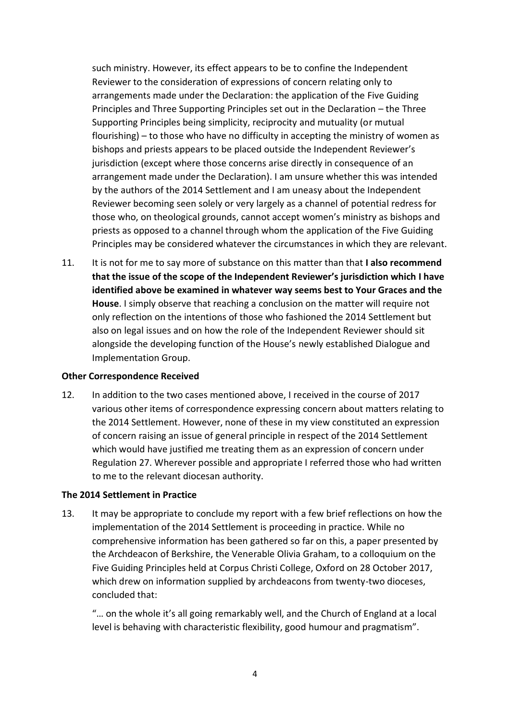such ministry. However, its effect appears to be to confine the Independent Reviewer to the consideration of expressions of concern relating only to arrangements made under the Declaration: the application of the Five Guiding Principles and Three Supporting Principles set out in the Declaration – the Three Supporting Principles being simplicity, reciprocity and mutuality (or mutual flourishing) – to those who have no difficulty in accepting the ministry of women as bishops and priests appears to be placed outside the Independent Reviewer's jurisdiction (except where those concerns arise directly in consequence of an arrangement made under the Declaration). I am unsure whether this was intended by the authors of the 2014 Settlement and I am uneasy about the Independent Reviewer becoming seen solely or very largely as a channel of potential redress for those who, on theological grounds, cannot accept women's ministry as bishops and priests as opposed to a channel through whom the application of the Five Guiding Principles may be considered whatever the circumstances in which they are relevant.

11. It is not for me to say more of substance on this matter than that **I also recommend that the issue of the scope of the Independent Reviewer's jurisdiction which I have identified above be examined in whatever way seems best to Your Graces and the House**. I simply observe that reaching a conclusion on the matter will require not only reflection on the intentions of those who fashioned the 2014 Settlement but also on legal issues and on how the role of the Independent Reviewer should sit alongside the developing function of the House's newly established Dialogue and Implementation Group.

### **Other Correspondence Received**

12. In addition to the two cases mentioned above, I received in the course of 2017 various other items of correspondence expressing concern about matters relating to the 2014 Settlement. However, none of these in my view constituted an expression of concern raising an issue of general principle in respect of the 2014 Settlement which would have justified me treating them as an expression of concern under Regulation 27. Wherever possible and appropriate I referred those who had written to me to the relevant diocesan authority.

### **The 2014 Settlement in Practice**

13. It may be appropriate to conclude my report with a few brief reflections on how the implementation of the 2014 Settlement is proceeding in practice. While no comprehensive information has been gathered so far on this, a paper presented by the Archdeacon of Berkshire, the Venerable Olivia Graham, to a colloquium on the Five Guiding Principles held at Corpus Christi College, Oxford on 28 October 2017, which drew on information supplied by archdeacons from twenty-two dioceses, concluded that:

"… on the whole it's all going remarkably well, and the Church of England at a local level is behaving with characteristic flexibility, good humour and pragmatism".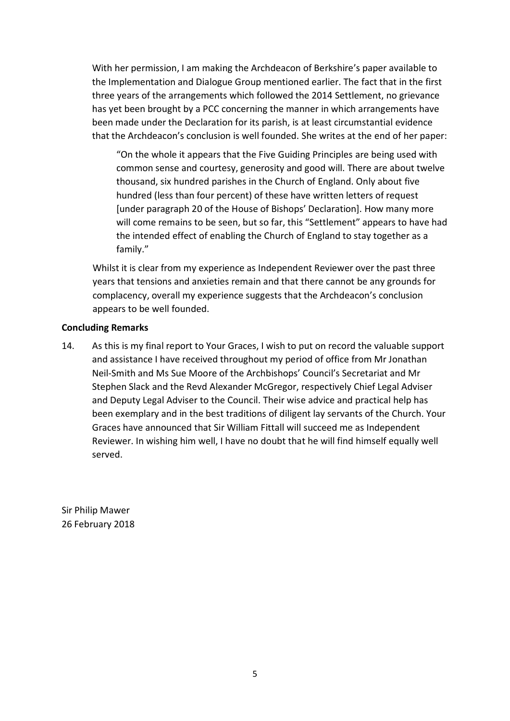With her permission, I am making the Archdeacon of Berkshire's paper available to the Implementation and Dialogue Group mentioned earlier. The fact that in the first three years of the arrangements which followed the 2014 Settlement, no grievance has yet been brought by a PCC concerning the manner in which arrangements have been made under the Declaration for its parish, is at least circumstantial evidence that the Archdeacon's conclusion is well founded. She writes at the end of her paper:

"On the whole it appears that the Five Guiding Principles are being used with common sense and courtesy, generosity and good will. There are about twelve thousand, six hundred parishes in the Church of England. Only about five hundred (less than four percent) of these have written letters of request [under paragraph 20 of the House of Bishops' Declaration]. How many more will come remains to be seen, but so far, this "Settlement" appears to have had the intended effect of enabling the Church of England to stay together as a family."

Whilst it is clear from my experience as Independent Reviewer over the past three years that tensions and anxieties remain and that there cannot be any grounds for complacency, overall my experience suggests that the Archdeacon's conclusion appears to be well founded.

#### **Concluding Remarks**

14. As this is my final report to Your Graces, I wish to put on record the valuable support and assistance I have received throughout my period of office from Mr Jonathan Neil-Smith and Ms Sue Moore of the Archbishops' Council's Secretariat and Mr Stephen Slack and the Revd Alexander McGregor, respectively Chief Legal Adviser and Deputy Legal Adviser to the Council. Their wise advice and practical help has been exemplary and in the best traditions of diligent lay servants of the Church. Your Graces have announced that Sir William Fittall will succeed me as Independent Reviewer. In wishing him well, I have no doubt that he will find himself equally well served.

Sir Philip Mawer 26 February 2018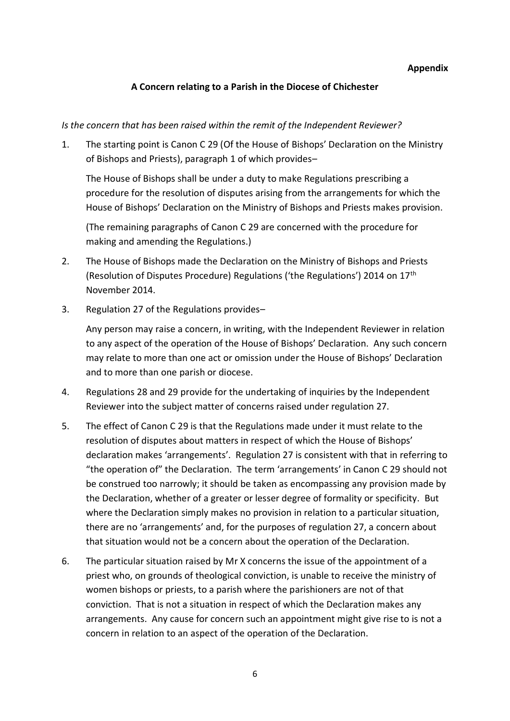## **A Concern relating to a Parish in the Diocese of Chichester**

*Is the concern that has been raised within the remit of the Independent Reviewer?*

1. The starting point is Canon C 29 (Of the House of Bishops' Declaration on the Ministry of Bishops and Priests), paragraph 1 of which provides–

The House of Bishops shall be under a duty to make Regulations prescribing a procedure for the resolution of disputes arising from the arrangements for which the House of Bishops' Declaration on the Ministry of Bishops and Priests makes provision.

(The remaining paragraphs of Canon C 29 are concerned with the procedure for making and amending the Regulations.)

- 2. The House of Bishops made the Declaration on the Ministry of Bishops and Priests (Resolution of Disputes Procedure) Regulations ('the Regulations') 2014 on 17th November 2014.
- 3. Regulation 27 of the Regulations provides–

Any person may raise a concern, in writing, with the Independent Reviewer in relation to any aspect of the operation of the House of Bishops' Declaration. Any such concern may relate to more than one act or omission under the House of Bishops' Declaration and to more than one parish or diocese.

- 4. Regulations 28 and 29 provide for the undertaking of inquiries by the Independent Reviewer into the subject matter of concerns raised under regulation 27.
- 5. The effect of Canon C 29 is that the Regulations made under it must relate to the resolution of disputes about matters in respect of which the House of Bishops' declaration makes 'arrangements'. Regulation 27 is consistent with that in referring to "the operation of" the Declaration. The term 'arrangements' in Canon C 29 should not be construed too narrowly; it should be taken as encompassing any provision made by the Declaration, whether of a greater or lesser degree of formality or specificity. But where the Declaration simply makes no provision in relation to a particular situation, there are no 'arrangements' and, for the purposes of regulation 27, a concern about that situation would not be a concern about the operation of the Declaration.
- 6. The particular situation raised by Mr X concerns the issue of the appointment of a priest who, on grounds of theological conviction, is unable to receive the ministry of women bishops or priests, to a parish where the parishioners are not of that conviction. That is not a situation in respect of which the Declaration makes any arrangements. Any cause for concern such an appointment might give rise to is not a concern in relation to an aspect of the operation of the Declaration.